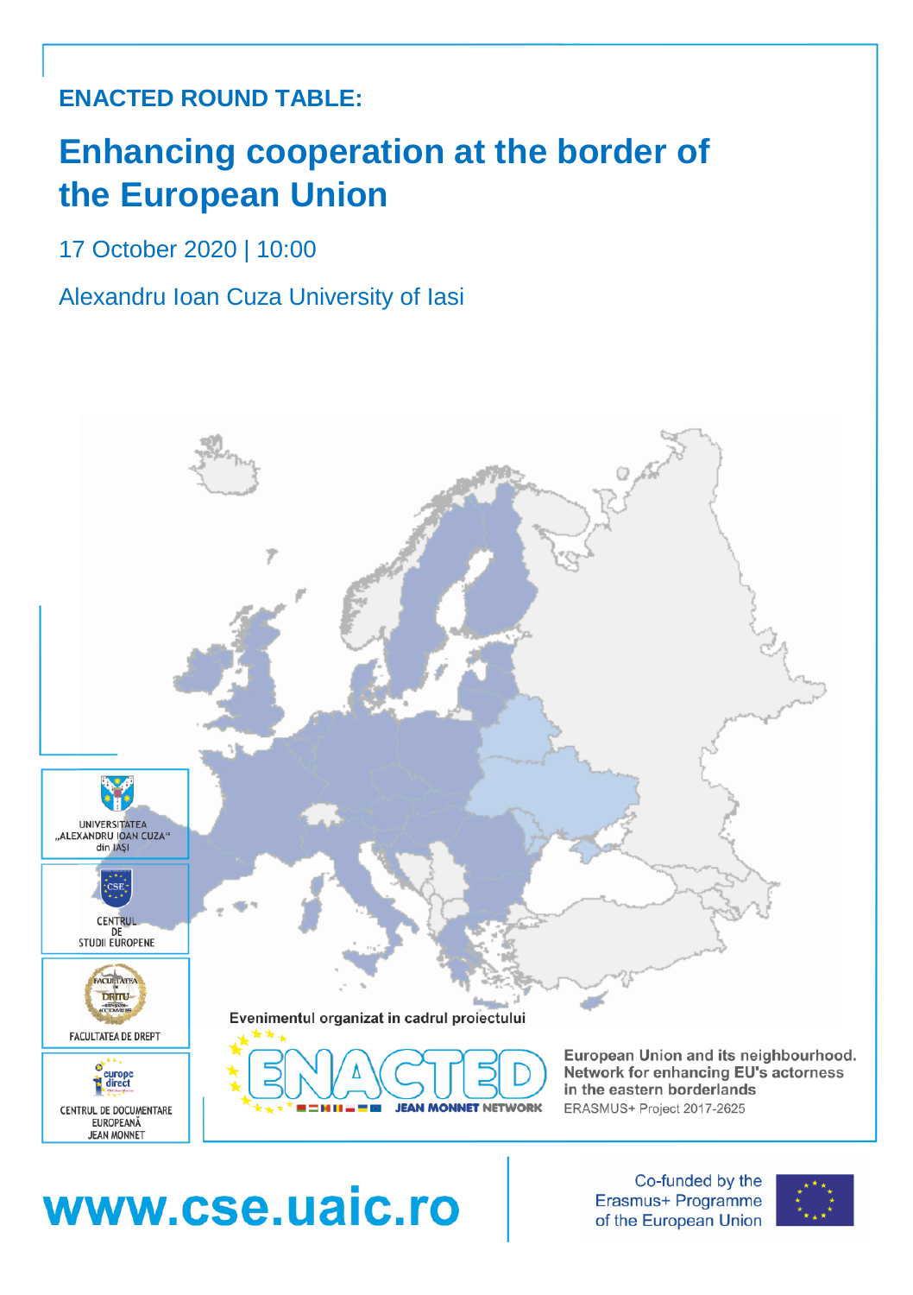## **ENACTED ROUND TABLE:**

# **Enhancing cooperation at the border of the European Union**

17 October 2020 | 10:00

Alexandru Ioan Cuza University of Iasi



# www.cse.uaic.ro

Co-funded by the Erasmus+ Programme of the European Union

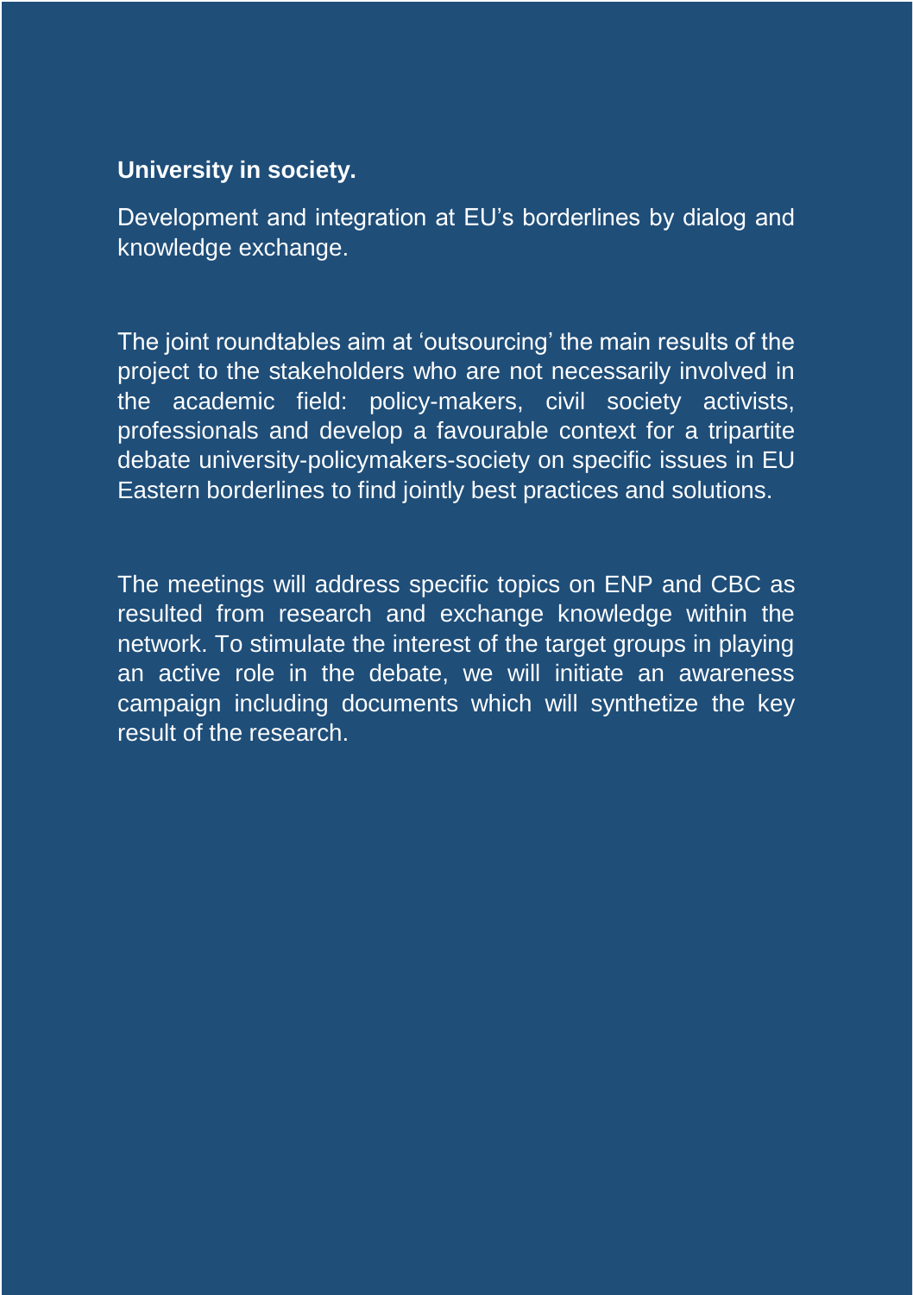#### **University in society.**

Development and integration at EU's borderlines by dialog and knowledge exchange.

The joint roundtables aim at 'outsourcing' the main results of the project to the stakeholders who are not necessarily involved in the academic field: policy-makers, civil society activists, professionals and develop a favourable context for a tripartite debate university-policymakers-society on specific issues in EU Eastern borderlines to find jointly best practices and solutions.

The meetings will address specific topics on ENP and CBC as resulted from research and exchange knowledge within the network. To stimulate the interest of the target groups in playing an active role in the debate, we will initiate an awareness campaign including documents which will synthetize the key result of the research.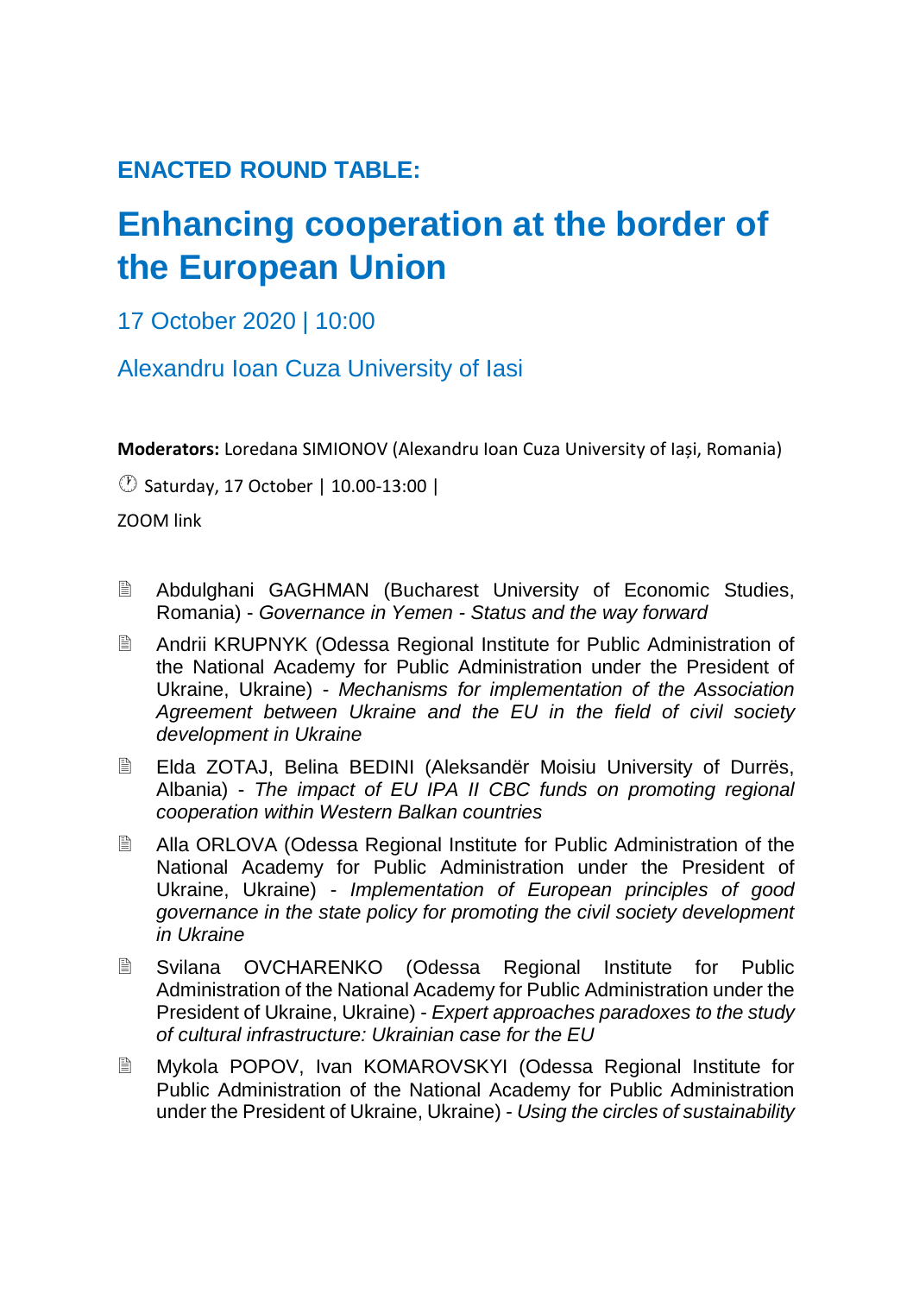### **ENACTED ROUND TABLE:**

## **Enhancing cooperation at the border of the European Union**

17 October 2020 | 10:00

Alexandru Ioan Cuza University of Iasi

**Moderators:** Loredana SIMIONOV (Alexandru Ioan Cuza University of Iași, Romania)

Saturday, 17 October | 10.00-13:00 |

ZOOM link

- Abdulghani GAGHMAN (Bucharest University of Economic Studies, Romania) - *Governance in Yemen - Status and the way forward*
- Andrii KRUPNYK (Odessa Regional Institute for Public Administration of the National Academy for Public Administration under the President of Ukraine, Ukraine) - *Mechanisms for implementation of the Association Agreement between Ukraine and the EU in the field of civil society development in Ukraine*
- Elda ZOTAJ, Belina BEDINI (Aleksandër Moisiu University of Durrës, Albania) - *The impact of EU IPA II CBC funds on promoting regional cooperation within Western Balkan countries*
- Alla ORLOVA (Odessa Regional Institute for Public Administration of the National Academy for Public Administration under the President of Ukraine, Ukraine) - *Implementation of European principles of good governance in the state policy for promoting the civil society development in Ukraine*
- Svilana OVCHARENKO (Odessa Regional Institute for Public Administration of the National Academy for Public Administration under the President of Ukraine, Ukraine) - *Expert approaches paradoxes to the study of cultural infrastructure: Ukrainian case for the EU*
- Mykola POPOV, Ivan KOMAROVSKYI (Odessa Regional Institute for Public Administration of the National Academy for Public Administration under the President of Ukraine, Ukraine) - *Using the circles of sustainability*